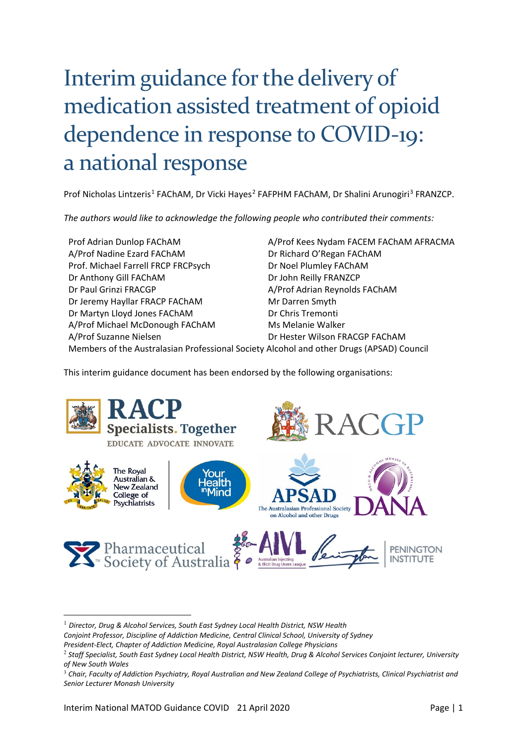# Interim guidance for the delivery of medication assisted treatment of opioid dependence in response to COVID-19: a national response

Prof Nicholas Lintzeris<sup>[1](#page-0-0)</sup> FAChAM, Dr Vicki Hayes<sup>[2](#page-0-1)</sup> FAFPHM FAChAM, Dr Shalini Arunogiri<sup>[3](#page-0-2)</sup> FRANZCP.

*The authors would like to acknowledge the following people who contributed their comments:*

Prof Adrian Dunlop FAChAM And Allen And Allen Area Nydam FACEM FAChAM AFRACMA A/Prof Nadine Ezard FAChAM Dr Richard O'Regan FAChAM Prof. Michael Farrell FRCP FRCPsych Dr Noel Plumley FAChAM Dr Anthony Gill FAChAM Dr John Reilly FRANZCP Dr Paul Grinzi FRACGP And Alexander A/Prof Adrian Reynolds FAChAM Dr Jeremy Hayllar FRACP FAChAM Mr Darren Smyth Dr Martyn Lloyd Jones FAChAM Dr Chris Tremonti A/Prof Michael McDonough FAChAM Ms Melanie Walker A/Prof Suzanne Nielsen Dr Hester Wilson FRACGP FAChAM Members of the Australasian Professional Society Alcohol and other Drugs (APSAD) Council

This interim guidance document has been endorsed by the following organisations:



<sup>1</sup> *Director, Drug & Alcohol Services, South East Sydney Local Health District, NSW Health* 

<span id="page-0-0"></span>*Conjoint Professor, Discipline of Addiction Medicine, Central Clinical School, University of Sydney*

*President-Elect, Chapter of Addiction Medicine, Royal Australasian College Physicians*

<span id="page-0-1"></span><sup>2</sup> *Staff Specialist, South East Sydney Local Health District, NSW Health, Drug & Alcohol Services Conjoint lecturer, University of New South Wales*

<span id="page-0-2"></span><sup>&</sup>lt;sup>3</sup> Chair, Faculty of Addiction Psychiatry, Royal Australian and New Zealand College of Psychiatrists, Clinical Psychiatrist and *Senior Lecturer Monash University*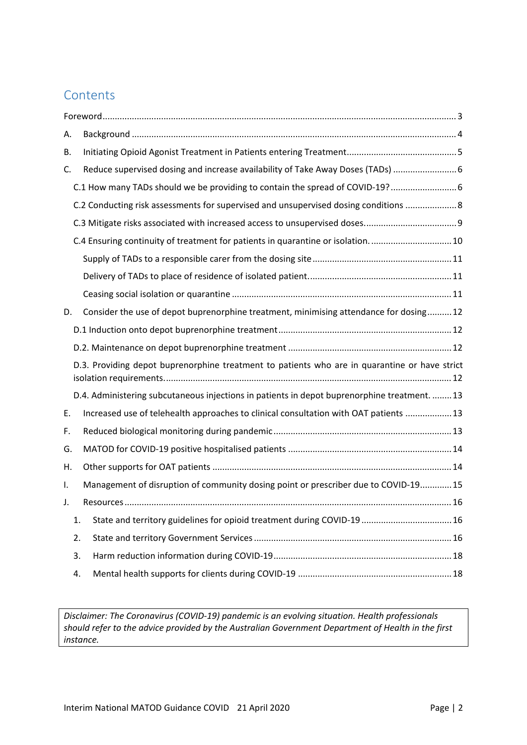# **Contents**

| А.           |    |                                                                                               |  |  |  |
|--------------|----|-----------------------------------------------------------------------------------------------|--|--|--|
| В.           |    |                                                                                               |  |  |  |
| C.           |    | Reduce supervised dosing and increase availability of Take Away Doses (TADs)  6               |  |  |  |
|              |    | C.1 How many TADs should we be providing to contain the spread of COVID-19?                   |  |  |  |
|              |    | C.2 Conducting risk assessments for supervised and unsupervised dosing conditions  8          |  |  |  |
|              |    |                                                                                               |  |  |  |
|              |    | C.4 Ensuring continuity of treatment for patients in quarantine or isolation 10               |  |  |  |
|              |    |                                                                                               |  |  |  |
|              |    |                                                                                               |  |  |  |
|              |    |                                                                                               |  |  |  |
| D.           |    | Consider the use of depot buprenorphine treatment, minimising attendance for dosing 12        |  |  |  |
|              |    |                                                                                               |  |  |  |
|              |    |                                                                                               |  |  |  |
|              |    | D.3. Providing depot buprenorphine treatment to patients who are in quarantine or have strict |  |  |  |
|              |    | D.4. Administering subcutaneous injections in patients in depot buprenorphine treatment.  13  |  |  |  |
| Ε.           |    | Increased use of telehealth approaches to clinical consultation with OAT patients  13         |  |  |  |
| F.           |    |                                                                                               |  |  |  |
| G.           |    |                                                                                               |  |  |  |
| Η.           |    |                                                                                               |  |  |  |
| Ι.           |    | Management of disruption of community dosing point or prescriber due to COVID-19 15           |  |  |  |
| $\mathbf{L}$ |    | Resources<br>16                                                                               |  |  |  |
| 1.           |    | State and territory guidelines for opioid treatment during COVID-19  16                       |  |  |  |
| 2.           |    |                                                                                               |  |  |  |
|              | 3. |                                                                                               |  |  |  |
|              | 4. |                                                                                               |  |  |  |

*Disclaimer: The Coronavirus (COVID-19) pandemic is an evolving situation. Health professionals should refer to the advice provided by the Australian Government Department of Health in the first instance.*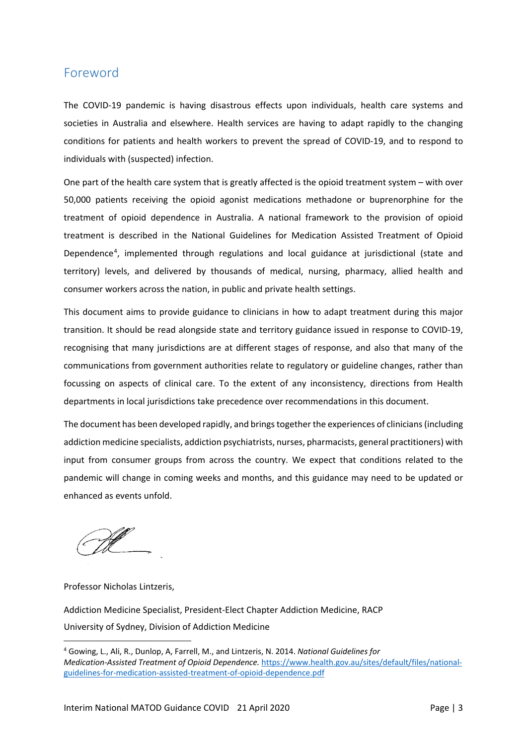### <span id="page-2-0"></span>Foreword

The COVID-19 pandemic is having disastrous effects upon individuals, health care systems and societies in Australia and elsewhere. Health services are having to adapt rapidly to the changing conditions for patients and health workers to prevent the spread of COVID-19, and to respond to individuals with (suspected) infection.

One part of the health care system that is greatly affected is the opioid treatment system – with over 50,000 patients receiving the opioid agonist medications methadone or buprenorphine for the treatment of opioid dependence in Australia. A national framework to the provision of opioid treatment is described in the National Guidelines for Medication Assisted Treatment of Opioid Dependence<sup>[4](#page-2-1)</sup>, implemented through regulations and local guidance at jurisdictional (state and territory) levels, and delivered by thousands of medical, nursing, pharmacy, allied health and consumer workers across the nation, in public and private health settings.

This document aims to provide guidance to clinicians in how to adapt treatment during this major transition. It should be read alongside state and territory guidance issued in response to COVID-19, recognising that many jurisdictions are at different stages of response, and also that many of the communications from government authorities relate to regulatory or guideline changes, rather than focussing on aspects of clinical care. To the extent of any inconsistency, directions from Health departments in local jurisdictions take precedence over recommendations in this document.

The document has been developed rapidly, and brings together the experiences of clinicians (including addiction medicine specialists, addiction psychiatrists, nurses, pharmacists, general practitioners) with input from consumer groups from across the country. We expect that conditions related to the pandemic will change in coming weeks and months, and this guidance may need to be updated or enhanced as events unfold.

Professor Nicholas Lintzeris,

Addiction Medicine Specialist, President-Elect Chapter Addiction Medicine, RACP University of Sydney, Division of Addiction Medicine

<span id="page-2-1"></span><sup>4</sup> Gowing, L., Ali, R., Dunlop, A, Farrell, M., and Lintzeris, N. 2014. *National Guidelines for Medication-Assisted Treatment of Opioid Dependence.* [https://www.health.gov.au/sites/default/files/national](https://www.health.gov.au/sites/default/files/national-guidelines-for-medication-assisted-treatment-of-opioid-dependence.pdf)[guidelines-for-medication-assisted-treatment-of-opioid-dependence.pdf](https://www.health.gov.au/sites/default/files/national-guidelines-for-medication-assisted-treatment-of-opioid-dependence.pdf)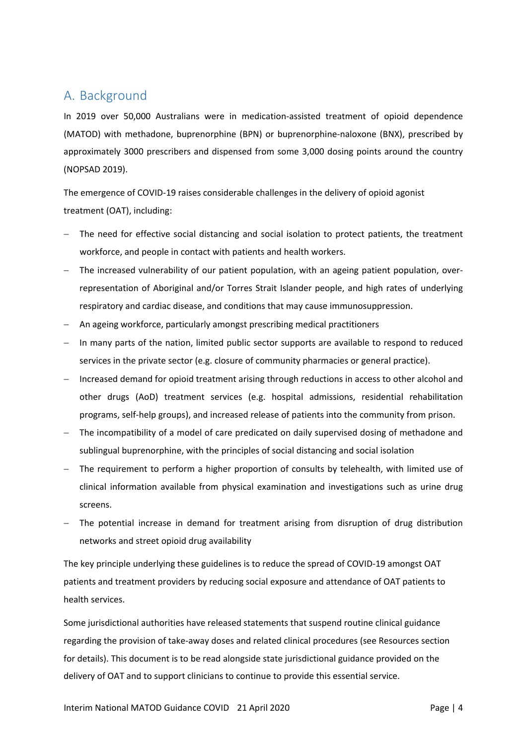# <span id="page-3-0"></span>A. Background

In 2019 over 50,000 Australians were in medication-assisted treatment of opioid dependence (MATOD) with methadone, buprenorphine (BPN) or buprenorphine-naloxone (BNX), prescribed by approximately 3000 prescribers and dispensed from some 3,000 dosing points around the country (NOPSAD 2019).

The emergence of COVID-19 raises considerable challenges in the delivery of opioid agonist treatment (OAT), including:

- The need for effective social distancing and social isolation to protect patients, the treatment workforce, and people in contact with patients and health workers.
- − The increased vulnerability of our patient population, with an ageing patient population, overrepresentation of Aboriginal and/or Torres Strait Islander people, and high rates of underlying respiratory and cardiac disease, and conditions that may cause immunosuppression.
- − An ageing workforce, particularly amongst prescribing medical practitioners
- − In many parts of the nation, limited public sector supports are available to respond to reduced services in the private sector (e.g. closure of community pharmacies or general practice).
- − Increased demand for opioid treatment arising through reductions in access to other alcohol and other drugs (AoD) treatment services (e.g. hospital admissions, residential rehabilitation programs, self-help groups), and increased release of patients into the community from prison.
- − The incompatibility of a model of care predicated on daily supervised dosing of methadone and sublingual buprenorphine, with the principles of social distancing and social isolation
- − The requirement to perform a higher proportion of consults by telehealth, with limited use of clinical information available from physical examination and investigations such as urine drug screens.
- − The potential increase in demand for treatment arising from disruption of drug distribution networks and street opioid drug availability

The key principle underlying these guidelines is to reduce the spread of COVID-19 amongst OAT patients and treatment providers by reducing social exposure and attendance of OAT patients to health services.

Some jurisdictional authorities have released statements that suspend routine clinical guidance regarding the provision of take-away doses and related clinical procedures (see Resources section for details). This document is to be read alongside state jurisdictional guidance provided on the delivery of OAT and to support clinicians to continue to provide this essential service.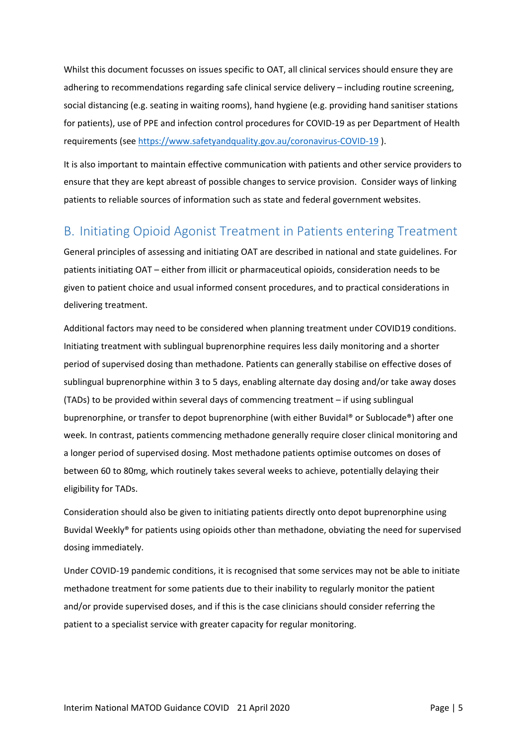Whilst this document focusses on issues specific to OAT, all clinical services should ensure they are adhering to recommendations regarding safe clinical service delivery – including routine screening, social distancing (e.g. seating in waiting rooms), hand hygiene (e.g. providing hand sanitiser stations for patients), use of PPE and infection control procedures for COVID-19 as per Department of Health requirements (see [https://www.safetyandquality.gov.au/coronavirus-COVID-19](https://www.safetyandquality.gov.au/coronavirus-covid-19) ).

It is also important to maintain effective communication with patients and other service providers to ensure that they are kept abreast of possible changes to service provision. Consider ways of linking patients to reliable sources of information such as state and federal government websites.

# <span id="page-4-0"></span>B. Initiating Opioid Agonist Treatment in Patients entering Treatment

General principles of assessing and initiating OAT are described in national and state guidelines. For patients initiating OAT – either from illicit or pharmaceutical opioids, consideration needs to be given to patient choice and usual informed consent procedures, and to practical considerations in delivering treatment.

Additional factors may need to be considered when planning treatment under COVID19 conditions. Initiating treatment with sublingual buprenorphine requires less daily monitoring and a shorter period of supervised dosing than methadone. Patients can generally stabilise on effective doses of sublingual buprenorphine within 3 to 5 days, enabling alternate day dosing and/or take away doses (TADs) to be provided within several days of commencing treatment – if using sublingual buprenorphine, or transfer to depot buprenorphine (with either Buvidal® or Sublocade®) after one week. In contrast, patients commencing methadone generally require closer clinical monitoring and a longer period of supervised dosing. Most methadone patients optimise outcomes on doses of between 60 to 80mg, which routinely takes several weeks to achieve, potentially delaying their eligibility for TADs.

Consideration should also be given to initiating patients directly onto depot buprenorphine using Buvidal Weekly® for patients using opioids other than methadone, obviating the need for supervised dosing immediately.

Under COVID-19 pandemic conditions, it is recognised that some services may not be able to initiate methadone treatment for some patients due to their inability to regularly monitor the patient and/or provide supervised doses, and if this is the case clinicians should consider referring the patient to a specialist service with greater capacity for regular monitoring.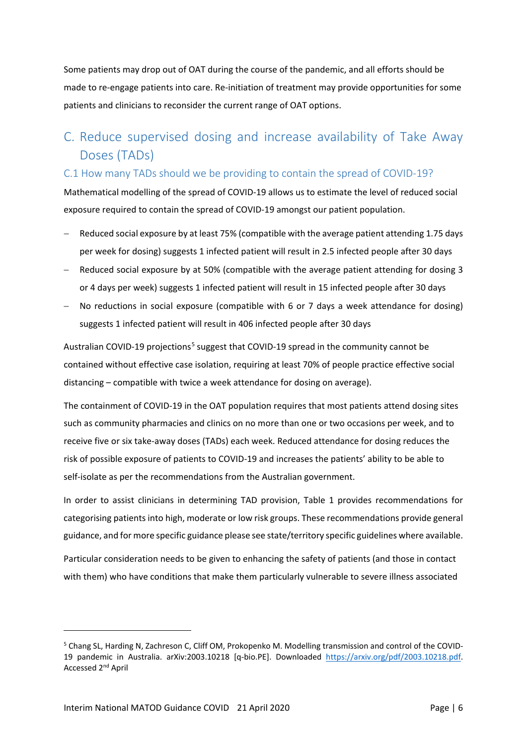Some patients may drop out of OAT during the course of the pandemic, and all efforts should be made to re-engage patients into care. Re-initiation of treatment may provide opportunities for some patients and clinicians to reconsider the current range of OAT options.

# <span id="page-5-0"></span>C. Reduce supervised dosing and increase availability of Take Away Doses (TADs)

### <span id="page-5-1"></span>C.1 How many TADs should we be providing to contain the spread of COVID-19?

Mathematical modelling of the spread of COVID-19 allows us to estimate the level of reduced social exposure required to contain the spread of COVID-19 amongst our patient population.

- Reduced social exposure by at least 75% (compatible with the average patient attending 1.75 days per week for dosing) suggests 1 infected patient will result in 2.5 infected people after 30 days
- Reduced social exposure by at 50% (compatible with the average patient attending for dosing 3 or 4 days per week) suggests 1 infected patient will result in 15 infected people after 30 days
- − No reductions in social exposure (compatible with 6 or 7 days a week attendance for dosing) suggests 1 infected patient will result in 406 infected people after 30 days

Australian COVID-19 projections<sup>[5](#page-5-2)</sup> suggest that COVID-19 spread in the community cannot be contained without effective case isolation, requiring at least 70% of people practice effective social distancing – compatible with twice a week attendance for dosing on average).

The containment of COVID-19 in the OAT population requires that most patients attend dosing sites such as community pharmacies and clinics on no more than one or two occasions per week, and to receive five or six take-away doses (TADs) each week. Reduced attendance for dosing reduces the risk of possible exposure of patients to COVID-19 and increases the patients' ability to be able to self-isolate as per the recommendations from the Australian government.

In order to assist clinicians in determining TAD provision, Table 1 provides recommendations for categorising patients into high, moderate or low risk groups. These recommendations provide general guidance, and for more specific guidance please see state/territory specific guidelines where available.

Particular consideration needs to be given to enhancing the safety of patients (and those in contact with them) who have conditions that make them particularly vulnerable to severe illness associated

<span id="page-5-2"></span><sup>5</sup> Chang SL, Harding N, Zachreson C, Cliff OM, Prokopenko M. Modelling transmission and control of the COVID-19 pandemic in Australia. arXiv:2003.10218 [q-bio.PE]. Downloaded https://arxiv.org/pdf/2003.10218.pdf. Accessed 2nd April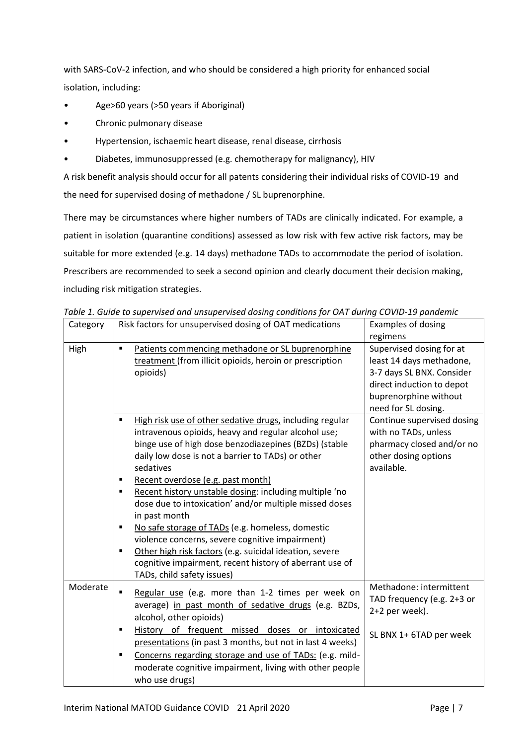with SARS-CoV-2 infection, and who should be considered a high priority for enhanced social isolation, including:

- Age>60 years (>50 years if Aboriginal)
- Chronic pulmonary disease
- Hypertension, ischaemic heart disease, renal disease, cirrhosis
- Diabetes, immunosuppressed (e.g. chemotherapy for malignancy), HIV

A risk benefit analysis should occur for all patents considering their individual risks of COVID-19 and the need for supervised dosing of methadone / SL buprenorphine.

There may be circumstances where higher numbers of TADs are clinically indicated. For example, a patient in isolation (quarantine conditions) assessed as low risk with few active risk factors, may be suitable for more extended (e.g. 14 days) methadone TADs to accommodate the period of isolation. Prescribers are recommended to seek a second opinion and clearly document their decision making, including risk mitigation strategies.

| Category | Risk factors for unsupervised dosing of OAT medications                                                                                                                                                                                                                                                                                                                                                                                                                                                                                                                                                                                                                    | <b>Examples of dosing</b>                                                                                                                                      |
|----------|----------------------------------------------------------------------------------------------------------------------------------------------------------------------------------------------------------------------------------------------------------------------------------------------------------------------------------------------------------------------------------------------------------------------------------------------------------------------------------------------------------------------------------------------------------------------------------------------------------------------------------------------------------------------------|----------------------------------------------------------------------------------------------------------------------------------------------------------------|
|          |                                                                                                                                                                                                                                                                                                                                                                                                                                                                                                                                                                                                                                                                            | regimens                                                                                                                                                       |
| High     | Patients commencing methadone or SL buprenorphine<br>$\blacksquare$<br>treatment (from illicit opioids, heroin or prescription<br>opioids)                                                                                                                                                                                                                                                                                                                                                                                                                                                                                                                                 | Supervised dosing for at<br>least 14 days methadone,<br>3-7 days SL BNX. Consider<br>direct induction to depot<br>buprenorphine without<br>need for SL dosing. |
|          | High risk use of other sedative drugs, including regular<br>٠<br>intravenous opioids, heavy and regular alcohol use;<br>binge use of high dose benzodiazepines (BZDs) (stable<br>daily low dose is not a barrier to TADs) or other<br>sedatives<br>Recent overdose (e.g. past month)<br>п<br>Recent history unstable dosing: including multiple 'no<br>٠<br>dose due to intoxication' and/or multiple missed doses<br>in past month<br>No safe storage of TADs (e.g. homeless, domestic<br>٠<br>violence concerns, severe cognitive impairment)<br>Other high risk factors (e.g. suicidal ideation, severe<br>٠<br>cognitive impairment, recent history of aberrant use of | Continue supervised dosing<br>with no TADs, unless<br>pharmacy closed and/or no<br>other dosing options<br>available.                                          |
|          | TADs, child safety issues)                                                                                                                                                                                                                                                                                                                                                                                                                                                                                                                                                                                                                                                 |                                                                                                                                                                |
| Moderate | Regular use (e.g. more than 1-2 times per week on<br>$\blacksquare$<br>average) in past month of sedative drugs (e.g. BZDs,<br>alcohol, other opioids)                                                                                                                                                                                                                                                                                                                                                                                                                                                                                                                     | Methadone: intermittent<br>TAD frequency (e.g. 2+3 or<br>2+2 per week).                                                                                        |
|          | History of frequent missed doses or intoxicated<br>٠<br>presentations (in past 3 months, but not in last 4 weeks)                                                                                                                                                                                                                                                                                                                                                                                                                                                                                                                                                          | SL BNX 1+ 6TAD per week                                                                                                                                        |
|          | Concerns regarding storage and use of TADs: (e.g. mild-<br>٠<br>moderate cognitive impairment, living with other people<br>who use drugs)                                                                                                                                                                                                                                                                                                                                                                                                                                                                                                                                  |                                                                                                                                                                |

*Table 1. Guide to supervised and unsupervised dosing conditions for OAT during COVID-19 pandemic*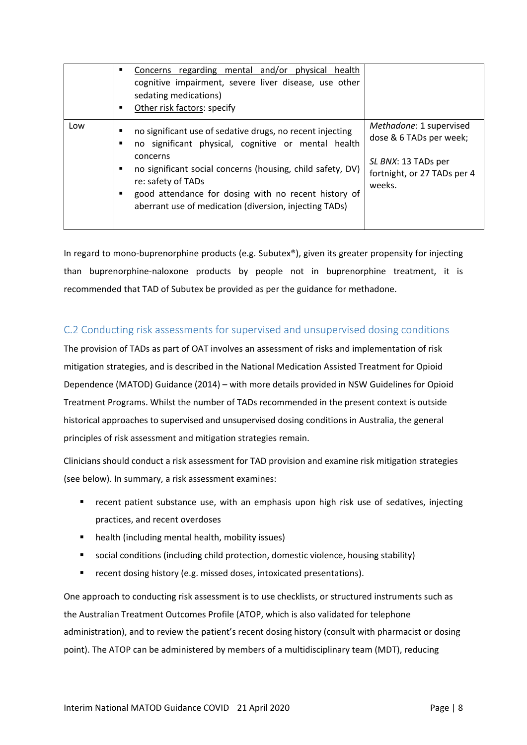|     | Concerns regarding mental and/or physical<br>health<br>٠<br>cognitive impairment, severe liver disease, use other<br>sedating medications)<br>Other risk factors: specify<br>٠                                                                                                                                                                         |                                                                                                                    |
|-----|--------------------------------------------------------------------------------------------------------------------------------------------------------------------------------------------------------------------------------------------------------------------------------------------------------------------------------------------------------|--------------------------------------------------------------------------------------------------------------------|
| Low | no significant use of sedative drugs, no recent injecting<br>٠<br>no significant physical, cognitive or mental health<br>■<br>concerns<br>no significant social concerns (housing, child safety, DV)<br>٠<br>re: safety of TADs<br>good attendance for dosing with no recent history of<br>٠<br>aberrant use of medication (diversion, injecting TADs) | Methadone: 1 supervised<br>dose & 6 TADs per week;<br>SL BNX: 13 TADs per<br>fortnight, or 27 TADs per 4<br>weeks. |

In regard to mono-buprenorphine products (e.g. Subutex®), given its greater propensity for injecting than buprenorphine-naloxone products by people not in buprenorphine treatment, it is recommended that TAD of Subutex be provided as per the guidance for methadone.

### <span id="page-7-0"></span>C.2 Conducting risk assessments for supervised and unsupervised dosing conditions

The provision of TADs as part of OAT involves an assessment of risks and implementation of risk mitigation strategies, and is described in the National Medication Assisted Treatment for Opioid Dependence (MATOD) Guidance (2014) – with more details provided in NSW Guidelines for Opioid Treatment Programs. Whilst the number of TADs recommended in the present context is outside historical approaches to supervised and unsupervised dosing conditions in Australia, the general principles of risk assessment and mitigation strategies remain.

Clinicians should conduct a risk assessment for TAD provision and examine risk mitigation strategies (see below). In summary, a risk assessment examines:

- **•** recent patient substance use, with an emphasis upon high risk use of sedatives, injecting practices, and recent overdoses
- health (including mental health, mobility issues)
- social conditions (including child protection, domestic violence, housing stability)
- **F** recent dosing history (e.g. missed doses, intoxicated presentations).

One approach to conducting risk assessment is to use checklists, or structured instruments such as the Australian Treatment Outcomes Profile (ATOP, which is also validated for telephone administration), and to review the patient's recent dosing history (consult with pharmacist or dosing point). The ATOP can be administered by members of a multidisciplinary team (MDT), reducing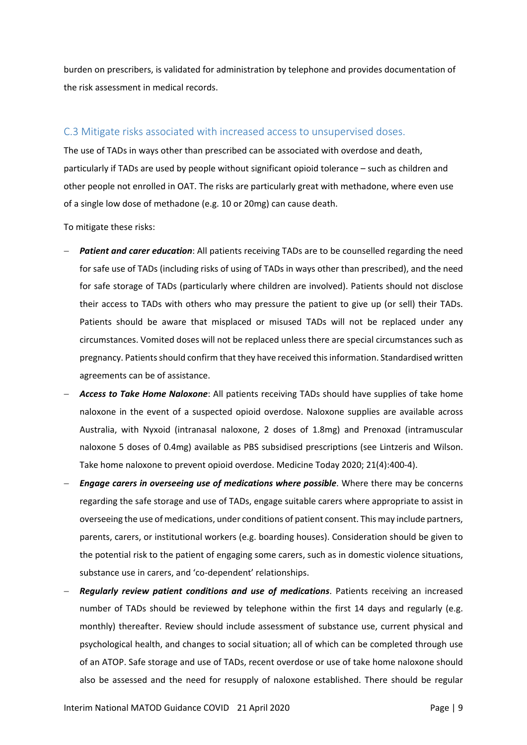burden on prescribers, is validated for administration by telephone and provides documentation of the risk assessment in medical records.

### <span id="page-8-0"></span>C.3 Mitigate risks associated with increased access to unsupervised doses.

The use of TADs in ways other than prescribed can be associated with overdose and death, particularly if TADs are used by people without significant opioid tolerance – such as children and other people not enrolled in OAT. The risks are particularly great with methadone, where even use of a single low dose of methadone (e.g. 10 or 20mg) can cause death.

To mitigate these risks:

- **Patient and carer education**: All patients receiving TADs are to be counselled regarding the need for safe use of TADs (including risks of using of TADs in ways other than prescribed), and the need for safe storage of TADs (particularly where children are involved). Patients should not disclose their access to TADs with others who may pressure the patient to give up (or sell) their TADs. Patients should be aware that misplaced or misused TADs will not be replaced under any circumstances. Vomited doses will not be replaced unless there are special circumstances such as pregnancy. Patients should confirm that they have received this information. Standardised written agreements can be of assistance.
- **Access to Take Home Naloxone:** All patients receiving TADs should have supplies of take home naloxone in the event of a suspected opioid overdose. Naloxone supplies are available across Australia, with Nyxoid (intranasal naloxone, 2 doses of 1.8mg) and Prenoxad (intramuscular naloxone 5 doses of 0.4mg) available as PBS subsidised prescriptions (see Lintzeris and Wilson. Take home naloxone to prevent opioid overdose. Medicine Today 2020; 21(4):400-4).
- *Engage carers in overseeing use of medications where possible*. Where there may be concerns regarding the safe storage and use of TADs, engage suitable carers where appropriate to assist in overseeing the use of medications, under conditions of patient consent. This may include partners, parents, carers, or institutional workers (e.g. boarding houses). Consideration should be given to the potential risk to the patient of engaging some carers, such as in domestic violence situations, substance use in carers, and 'co-dependent' relationships.
- − *Regularly review patient conditions and use of medications*. Patients receiving an increased number of TADs should be reviewed by telephone within the first 14 days and regularly (e.g. monthly) thereafter. Review should include assessment of substance use, current physical and psychological health, and changes to social situation; all of which can be completed through use of an ATOP. Safe storage and use of TADs, recent overdose or use of take home naloxone should also be assessed and the need for resupply of naloxone established. There should be regular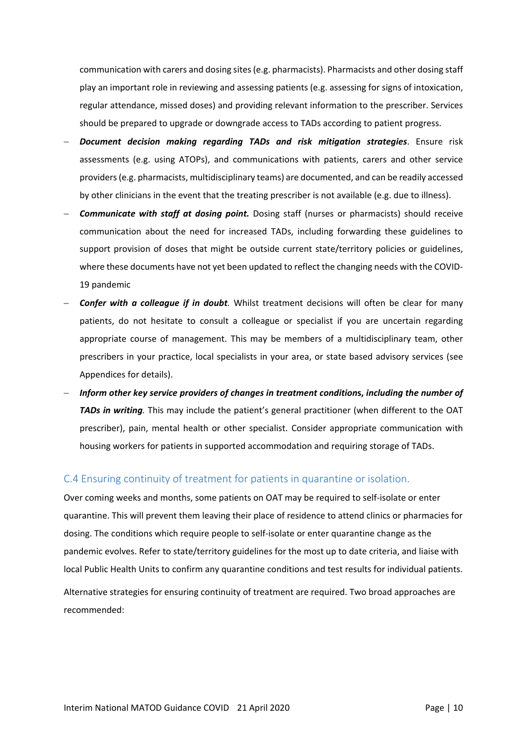communication with carers and dosing sites (e.g. pharmacists). Pharmacists and other dosing staff play an important role in reviewing and assessing patients (e.g. assessing for signs of intoxication, regular attendance, missed doses) and providing relevant information to the prescriber. Services should be prepared to upgrade or downgrade access to TADs according to patient progress.

- − *Document decision making regarding TADs and risk mitigation strategies*. Ensure risk assessments (e.g. using ATOPs), and communications with patients, carers and other service providers (e.g. pharmacists, multidisciplinary teams) are documented, and can be readily accessed by other clinicians in the event that the treating prescriber is not available (e.g. due to illness).
- **Communicate with staff at dosing point.** Dosing staff (nurses or pharmacists) should receive communication about the need for increased TADs, including forwarding these guidelines to support provision of doses that might be outside current state/territory policies or guidelines, where these documents have not yet been updated to reflect the changing needs with the COVID-19 pandemic
- − *Confer with a colleague if in doubt.* Whilst treatment decisions will often be clear for many patients, do not hesitate to consult a colleague or specialist if you are uncertain regarding appropriate course of management. This may be members of a multidisciplinary team, other prescribers in your practice, local specialists in your area, or state based advisory services (see Appendices for details).
- − *Inform other key service providers of changes in treatment condition***s,** *including the number of TADs in writing.* This may include the patient's general practitioner (when different to the OAT prescriber), pain, mental health or other specialist. Consider appropriate communication with housing workers for patients in supported accommodation and requiring storage of TADs.

### <span id="page-9-0"></span>C.4 Ensuring continuity of treatment for patients in quarantine or isolation.

Over coming weeks and months, some patients on OAT may be required to self-isolate or enter quarantine. This will prevent them leaving their place of residence to attend clinics or pharmacies for dosing. The conditions which require people to self-isolate or enter quarantine change as the pandemic evolves. Refer to state/territory guidelines for the most up to date criteria, and liaise with local Public Health Units to confirm any quarantine conditions and test results for individual patients.

Alternative strategies for ensuring continuity of treatment are required. Two broad approaches are recommended: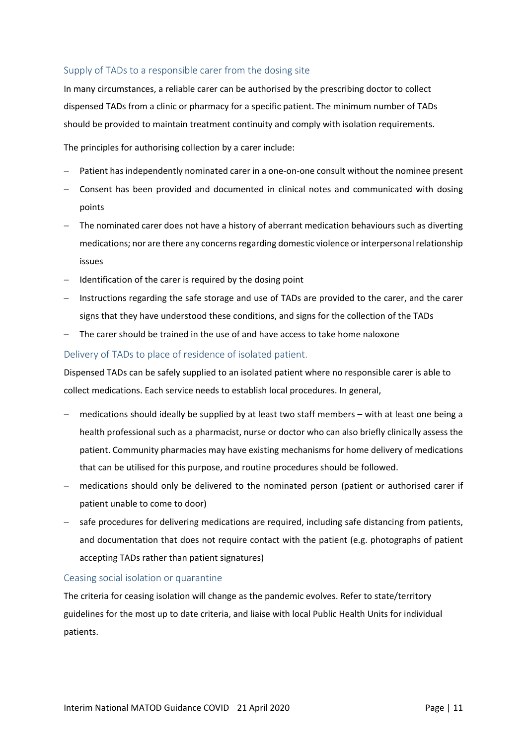### <span id="page-10-0"></span>Supply of TADs to a responsible carer from the dosing site

In many circumstances, a reliable carer can be authorised by the prescribing doctor to collect dispensed TADs from a clinic or pharmacy for a specific patient. The minimum number of TADs should be provided to maintain treatment continuity and comply with isolation requirements.

The principles for authorising collection by a carer include:

- Patient has independently nominated carer in a one-on-one consult without the nominee present
- − Consent has been provided and documented in clinical notes and communicated with dosing points
- − The nominated carer does not have a history of aberrant medication behaviours such as diverting medications; nor are there any concerns regarding domestic violence or interpersonal relationship issues
- − Identification of the carer is required by the dosing point
- − Instructions regarding the safe storage and use of TADs are provided to the carer, and the carer signs that they have understood these conditions, and signs for the collection of the TADs
- − The carer should be trained in the use of and have access to take home naloxone

### <span id="page-10-1"></span>Delivery of TADs to place of residence of isolated patient.

Dispensed TADs can be safely supplied to an isolated patient where no responsible carer is able to collect medications. Each service needs to establish local procedures. In general,

- medications should ideally be supplied by at least two staff members with at least one being a health professional such as a pharmacist, nurse or doctor who can also briefly clinically assess the patient. Community pharmacies may have existing mechanisms for home delivery of medications that can be utilised for this purpose, and routine procedures should be followed.
- medications should only be delivered to the nominated person (patient or authorised carer if patient unable to come to door)
- − safe procedures for delivering medications are required, including safe distancing from patients, and documentation that does not require contact with the patient (e.g. photographs of patient accepting TADs rather than patient signatures)

#### <span id="page-10-2"></span>Ceasing social isolation or quarantine

The criteria for ceasing isolation will change as the pandemic evolves. Refer to state/territory guidelines for the most up to date criteria, and liaise with local Public Health Units for individual patients.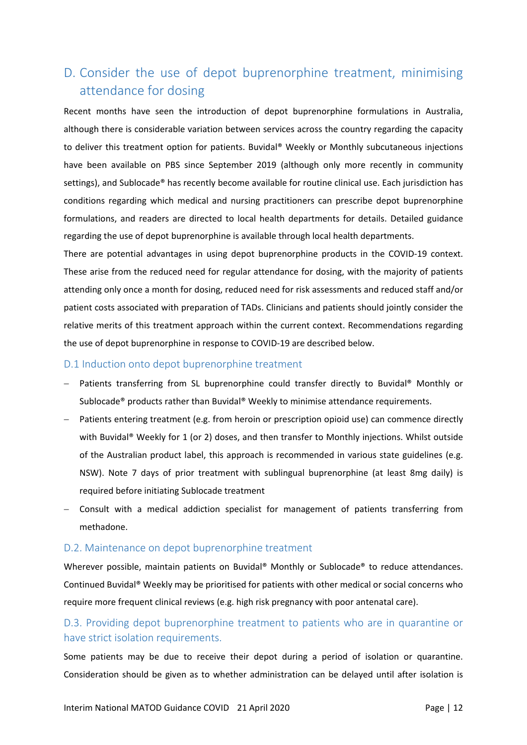# <span id="page-11-0"></span>D. Consider the use of depot buprenorphine treatment, minimising attendance for dosing

Recent months have seen the introduction of depot buprenorphine formulations in Australia, although there is considerable variation between services across the country regarding the capacity to deliver this treatment option for patients. Buvidal® Weekly or Monthly subcutaneous injections have been available on PBS since September 2019 (although only more recently in community settings), and Sublocade® has recently become available for routine clinical use. Each jurisdiction has conditions regarding which medical and nursing practitioners can prescribe depot buprenorphine formulations, and readers are directed to local health departments for details. Detailed guidance regarding the use of depot buprenorphine is available through local health departments.

There are potential advantages in using depot buprenorphine products in the COVID-19 context. These arise from the reduced need for regular attendance for dosing, with the majority of patients attending only once a month for dosing, reduced need for risk assessments and reduced staff and/or patient costs associated with preparation of TADs. Clinicians and patients should jointly consider the relative merits of this treatment approach within the current context. Recommendations regarding the use of depot buprenorphine in response to COVID-19 are described below.

#### <span id="page-11-1"></span>D.1 Induction onto depot buprenorphine treatment

- − Patients transferring from SL buprenorphine could transfer directly to Buvidal® Monthly or Sublocade® products rather than Buvidal® Weekly to minimise attendance requirements.
- − Patients entering treatment (e.g. from heroin or prescription opioid use) can commence directly with Buvidal® Weekly for 1 (or 2) doses, and then transfer to Monthly injections. Whilst outside of the Australian product label, this approach is recommended in various state guidelines (e.g. NSW). Note 7 days of prior treatment with sublingual buprenorphine (at least 8mg daily) is required before initiating Sublocade treatment
- − Consult with a medical addiction specialist for management of patients transferring from methadone.

#### <span id="page-11-2"></span>D.2. Maintenance on depot buprenorphine treatment

Wherever possible, maintain patients on Buvidal® Monthly or Sublocade® to reduce attendances. Continued Buvidal® Weekly may be prioritised for patients with other medical or social concerns who require more frequent clinical reviews (e.g. high risk pregnancy with poor antenatal care).

### <span id="page-11-3"></span>D.3. Providing depot buprenorphine treatment to patients who are in quarantine or have strict isolation requirements.

Some patients may be due to receive their depot during a period of isolation or quarantine. Consideration should be given as to whether administration can be delayed until after isolation is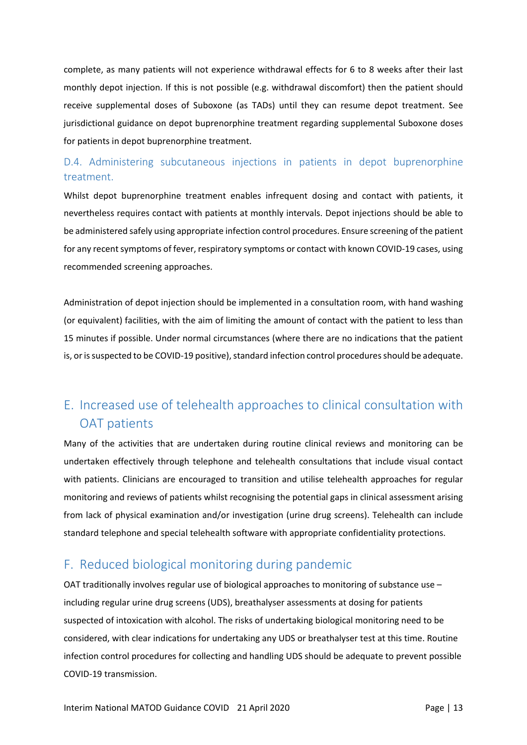complete, as many patients will not experience withdrawal effects for 6 to 8 weeks after their last monthly depot injection. If this is not possible (e.g. withdrawal discomfort) then the patient should receive supplemental doses of Suboxone (as TADs) until they can resume depot treatment. See jurisdictional guidance on depot buprenorphine treatment regarding supplemental Suboxone doses for patients in depot buprenorphine treatment.

## <span id="page-12-0"></span>D.4. Administering subcutaneous injections in patients in depot buprenorphine treatment.

Whilst depot buprenorphine treatment enables infrequent dosing and contact with patients, it nevertheless requires contact with patients at monthly intervals. Depot injections should be able to be administered safely using appropriate infection control procedures. Ensure screening of the patient for any recent symptoms of fever, respiratory symptoms or contact with known COVID-19 cases, using recommended screening approaches.

Administration of depot injection should be implemented in a consultation room, with hand washing (or equivalent) facilities, with the aim of limiting the amount of contact with the patient to less than 15 minutes if possible. Under normal circumstances (where there are no indications that the patient is, or is suspected to be COVID-19 positive), standard infection control procedures should be adequate.

# <span id="page-12-1"></span>E. Increased use of telehealth approaches to clinical consultation with OAT patients

Many of the activities that are undertaken during routine clinical reviews and monitoring can be undertaken effectively through telephone and telehealth consultations that include visual contact with patients. Clinicians are encouraged to transition and utilise telehealth approaches for regular monitoring and reviews of patients whilst recognising the potential gaps in clinical assessment arising from lack of physical examination and/or investigation (urine drug screens). Telehealth can include standard telephone and special telehealth software with appropriate confidentiality protections.

# <span id="page-12-2"></span>F. Reduced biological monitoring during pandemic

OAT traditionally involves regular use of biological approaches to monitoring of substance use – including regular urine drug screens (UDS), breathalyser assessments at dosing for patients suspected of intoxication with alcohol. The risks of undertaking biological monitoring need to be considered, with clear indications for undertaking any UDS or breathalyser test at this time. Routine infection control procedures for collecting and handling UDS should be adequate to prevent possible COVID-19 transmission.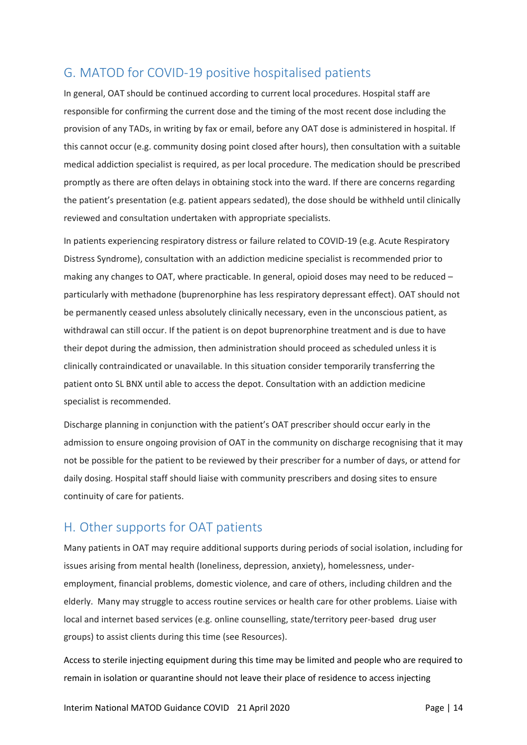# <span id="page-13-0"></span>G. MATOD for COVID-19 positive hospitalised patients

In general, OAT should be continued according to current local procedures. Hospital staff are responsible for confirming the current dose and the timing of the most recent dose including the provision of any TADs, in writing by fax or email, before any OAT dose is administered in hospital. If this cannot occur (e.g. community dosing point closed after hours), then consultation with a suitable medical addiction specialist is required, as per local procedure. The medication should be prescribed promptly as there are often delays in obtaining stock into the ward. If there are concerns regarding the patient's presentation (e.g. patient appears sedated), the dose should be withheld until clinically reviewed and consultation undertaken with appropriate specialists.

In patients experiencing respiratory distress or failure related to COVID-19 (e.g. Acute Respiratory Distress Syndrome), consultation with an addiction medicine specialist is recommended prior to making any changes to OAT, where practicable. In general, opioid doses may need to be reduced – particularly with methadone (buprenorphine has less respiratory depressant effect). OAT should not be permanently ceased unless absolutely clinically necessary, even in the unconscious patient, as withdrawal can still occur. If the patient is on depot buprenorphine treatment and is due to have their depot during the admission, then administration should proceed as scheduled unless it is clinically contraindicated or unavailable. In this situation consider temporarily transferring the patient onto SL BNX until able to access the depot. Consultation with an addiction medicine specialist is recommended.

Discharge planning in conjunction with the patient's OAT prescriber should occur early in the admission to ensure ongoing provision of OAT in the community on discharge recognising that it may not be possible for the patient to be reviewed by their prescriber for a number of days, or attend for daily dosing. Hospital staff should liaise with community prescribers and dosing sites to ensure continuity of care for patients.

# <span id="page-13-1"></span>H. Other supports for OAT patients

Many patients in OAT may require additional supports during periods of social isolation, including for issues arising from mental health (loneliness, depression, anxiety), homelessness, underemployment, financial problems, domestic violence, and care of others, including children and the elderly. Many may struggle to access routine services or health care for other problems. Liaise with local and internet based services (e.g. online counselling, state/territory peer-based drug user groups) to assist clients during this time (see Resources).

Access to sterile injecting equipment during this time may be limited and people who are required to remain in isolation or quarantine should not leave their place of residence to access injecting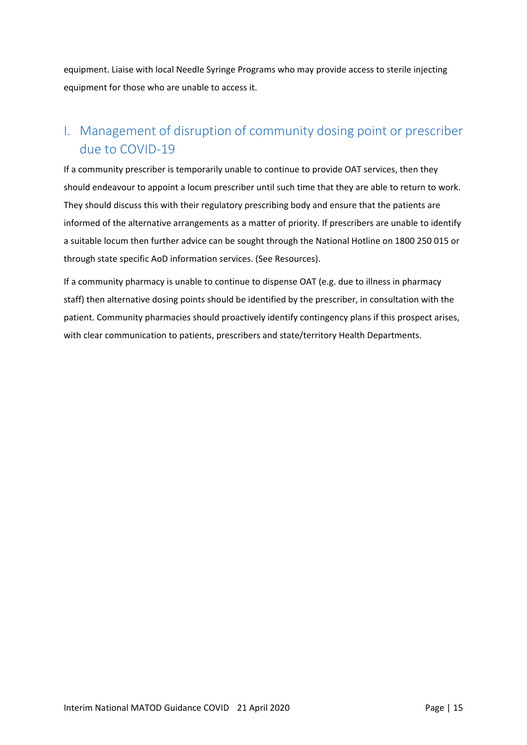equipment. Liaise with local Needle Syringe Programs who may provide access to sterile injecting equipment for those who are unable to access it.

# <span id="page-14-0"></span>I. Management of disruption of community dosing point or prescriber due to COVID-19

If a community prescriber is temporarily unable to continue to provide OAT services, then they should endeavour to appoint a locum prescriber until such time that they are able to return to work. They should discuss this with their regulatory prescribing body and ensure that the patients are informed of the alternative arrangements as a matter of priority. If prescribers are unable to identify a suitable locum then further advice can be sought through the National Hotline on 1800 250 015 or through state specific AoD information services. (See Resources).

If a community pharmacy is unable to continue to dispense OAT (e.g. due to illness in pharmacy staff) then alternative dosing points should be identified by the prescriber, in consultation with the patient. Community pharmacies should proactively identify contingency plans if this prospect arises, with clear communication to patients, prescribers and state/territory Health Departments.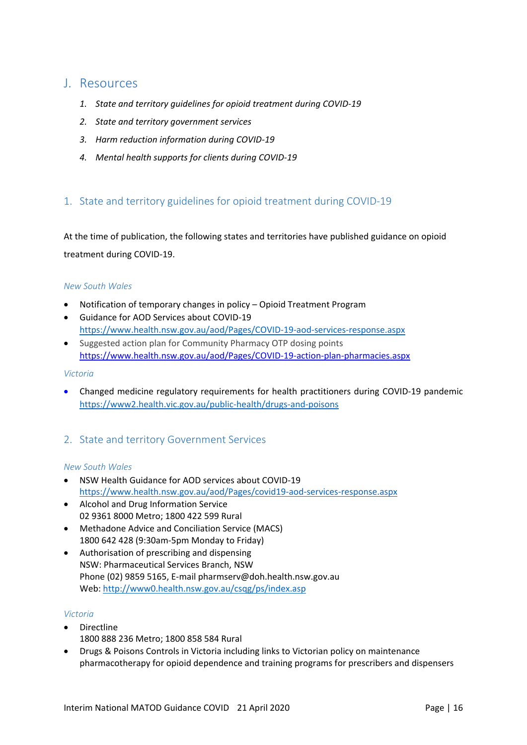## <span id="page-15-0"></span>J. Resources

- *1. State and territory guidelines for opioid treatment during COVID-19*
- *2. State and territory government services*
- *3. Harm reduction information during COVID-19*
- *4. Mental health supports for clients during COVID-19*

### <span id="page-15-1"></span>1. State and territory guidelines for opioid treatment during COVID-19

At the time of publication, the following states and territories have published guidance on opioid treatment during COVID-19.

### *New South Wales*

- Notification of temporary changes in policy Opioid Treatment Program
- Guidance for AOD Services about COVID-19 [https://www.health.nsw.gov.au/aod/Pages/COVID-19-aod-services-response.aspx](https://www.health.nsw.gov.au/aod/Pages/covid19-aod-services-response.aspx)
- Suggested action plan for Community Pharmacy OTP dosing points [https://www.health.nsw.gov.au/aod/Pages/COVID-19-action-plan-pharmacies.aspx](https://www.health.nsw.gov.au/aod/Pages/covid-19-action-plan-pharmacies.aspx)

#### *Victoria*

• Changed medicine regulatory requirements for health practitioners during COVID-19 pandemic <https://www2.health.vic.gov.au/public-health/drugs-and-poisons>

### <span id="page-15-2"></span>2. State and territory Government Services

#### *New South Wales*

- NSW Health Guidance for AOD services about COVID-19 <https://www.health.nsw.gov.au/aod/Pages/covid19-aod-services-response.aspx>
- Alcohol and Drug Information Service 02 9361 8000 Metro; 1800 422 599 Rural
- Methadone Advice and Conciliation Service (MACS) 1800 642 428 (9:30am-5pm Monday to Friday)
- Authorisation of prescribing and dispensing NSW: Pharmaceutical Services Branch, NSW Phone (02) 9859 5165, E-mail pharmserv@doh.health.nsw.gov.au Web:<http://www0.health.nsw.gov.au/csqg/ps/index.asp>

### *Victoria*

- Directline 1800 888 236 Metro; 1800 858 584 Rural
- Drugs & Poisons Controls in Victoria including links to Victorian policy on maintenance pharmacotherapy for opioid dependence and training programs for prescribers and dispensers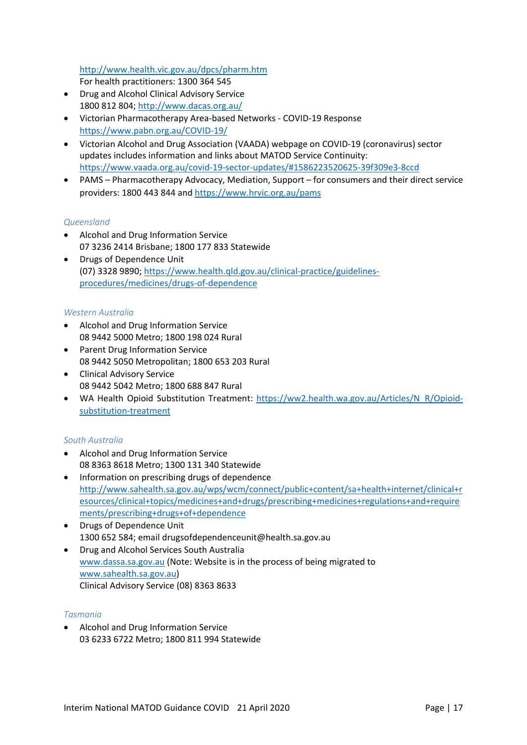<http://www.health.vic.gov.au/dpcs/pharm.htm>

For health practitioners: 1300 364 545

- Drug and Alcohol Clinical Advisory Service 1800 812 804;<http://www.dacas.org.au/>
- Victorian Pharmacotherapy Area-based Networks COVID-19 Response <https://www.pabn.org.au/COVID-19/>
- Victorian Alcohol and Drug Association (VAADA) webpage on COVID-19 (coronavirus) sector updates includes information and links about MATOD Service Continuity: <https://www.vaada.org.au/covid-19-sector-updates/#1586223520625-39f309e3-8ccd>
- PAMS Pharmacotherapy Advocacy, Mediation, Support for consumers and their direct service providers: 1800 443 844 and<https://www.hrvic.org.au/pams>

### *Queensland*

- Alcohol and Drug Information Service 07 3236 2414 Brisbane; 1800 177 833 Statewide
- Drugs of Dependence Unit (07) 3328 9890; https://www.health.qld.gov.au/clinical-practice/guidelinesprocedures/medicines/drugs-of-dependence

### *Western Australia*

- Alcohol and Drug Information Service 08 9442 5000 Metro; 1800 198 024 Rural
- Parent Drug Information Service 08 9442 5050 Metropolitan; 1800 653 203 Rural
- Clinical Advisory Service 08 9442 5042 Metro; 1800 688 847 Rural
- WA Health Opioid Substitution Treatment: [https://ww2.health.wa.gov.au/Articles/N\\_R/Opioid](https://ww2.health.wa.gov.au/Articles/N_R/Opioid-substitution-treatment)[substitution-treatment](https://ww2.health.wa.gov.au/Articles/N_R/Opioid-substitution-treatment)

### *South Australia*

- Alcohol and Drug Information Service 08 8363 8618 Metro; 1300 131 340 Statewide
- Information on prescribing drugs of dependence [http://www.sahealth.sa.gov.au/wps/wcm/connect/public+content/sa+health+internet/clinical+r](http://www.sahealth.sa.gov.au/wps/wcm/connect/public+content/sa+health+internet/clinical+resources/clinical+topics/medicines+and+drugs/prescribing+medicines+regulations+and+requirements/prescribing+drugs+of+dependence) [esources/clinical+topics/medicines+and+drugs/prescribing+medicines+regulations+and+require](http://www.sahealth.sa.gov.au/wps/wcm/connect/public+content/sa+health+internet/clinical+resources/clinical+topics/medicines+and+drugs/prescribing+medicines+regulations+and+requirements/prescribing+drugs+of+dependence) [ments/prescribing+drugs+of+dependence](http://www.sahealth.sa.gov.au/wps/wcm/connect/public+content/sa+health+internet/clinical+resources/clinical+topics/medicines+and+drugs/prescribing+medicines+regulations+and+requirements/prescribing+drugs+of+dependence)
- Drugs of Dependence Unit 1300 652 584; email drugsofdependenceunit@health.sa.gov.au
- Drug and Alcohol Services South Australia [www.dassa.sa.gov.au](http://www.dassa.sa.gov.au/) (Note: Website is in the process of being migrated to [www.sahealth.sa.gov.au\)](http://www.sahealth.sa.gov.au/) Clinical Advisory Service (08) 8363 8633

#### *Tasmania*

• Alcohol and Drug Information Service 03 6233 6722 Metro; 1800 811 994 Statewide